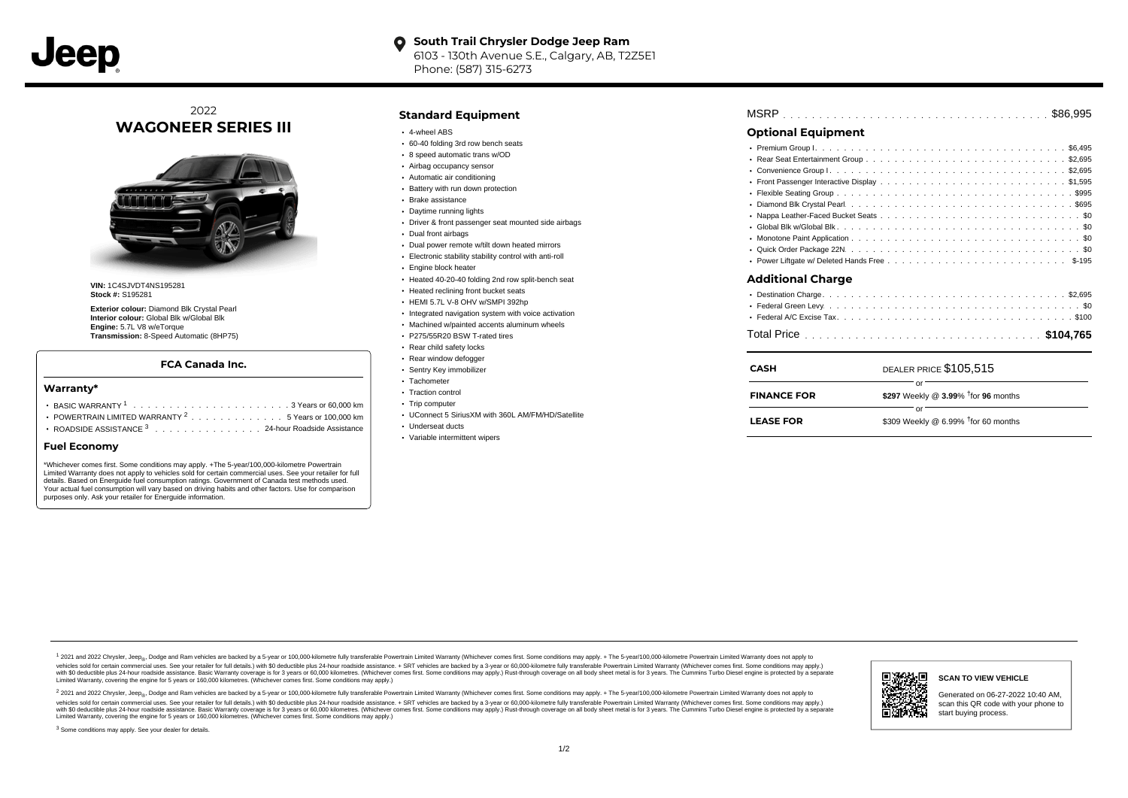

#### **South Trail Chrysler Dodge Jeep Ram**  $\bullet$ 6103 - 130th Avenue S.E., Calgary, AB, T2Z5E1 Phone: (587) 315-6273

# 2022 **WAGONEER SERIES III**



**VIN:** 1C4SJVDT4NS195281 **Stock #:** S195281

**Exterior colour:** Diamond Blk Crystal Pearl **Interior colour:** Global Blk w/Global Blk **Engine:** 5.7L V8 w/eTorque **Transmission:** 8-Speed Automatic (8HP75)

### **FCA Canada Inc.**

#### **Warranty\***

- . . . . . . . . . . . . . . . . . . . . . . . . . . . . . . . . . . . . . . . . . . . BASIC WARRANTY <sup>1</sup> 3 Years or 60,000 km POWERTRAIN LIMITED WARRANTY  $2 \ldots \ldots \ldots \ldots \ldots 5$  Years or 100,000 km
- ROADSIDE ASSISTANCE 3 . . . . . . . . . . . . . . . 24-hour Roadside Assistance

#### **Fuel Economy**

\*Whichever comes first. Some conditions may apply. +The 5-year/100,000-kilometre Powertrain Limited Warranty does not apply to vehicles sold for certain commercial uses. See your retailer for full details. Based on Energuide fuel consumption ratings. Government of Canada test methods used. Your actual fuel consumption will vary based on driving habits and other factors. Use for comparison purposes only. Ask your retailer for Energuide information.

### **Standard Equipment**

- 4-wheel ABS
- 60-40 folding 3rd row bench seats
- 8 speed automatic trans w/OD
- Airbag occupancy sensor
- Automatic air conditioning
- Battery with run down protection
- Brake assistance
- Daytime running lights
- Driver & front passenger seat mounted side airbags
- Dual front airbags
- Dual power remote w/tilt down heated mirrors
- Electronic stability stability control with anti-roll
- Engine block heater
- Heated 40-20-40 folding 2nd row split-bench seat
- **Heated reclining front bucket seats**
- HEMI 5.7L V-8 OHV w/SMPI 392hp
- Integrated navigation system with voice activation
	- Machined w/painted accents aluminum wheels
- P275/55R20 BSW T-rated tires
- Rear child safety locks
- Rear window defogger
- Sentry Key immobilizer
- Tachometer • Traction control
- Trip computer
- UConnect 5 SiriusXM with 360L AM/FM/HD/Satellite
- Underseat ducts
- Variable intermittent wipers

| <b>Optional Equipment</b> |                                                               |  |
|---------------------------|---------------------------------------------------------------|--|
|                           |                                                               |  |
| <b>Additional Charge</b>  |                                                               |  |
|                           |                                                               |  |
| <b>CASH</b>               | DEALER PRICE \$105,515                                        |  |
| <b>FINANCE FOR</b>        | or<br>\$297 Weekly @ $3.99\%$ <sup>†</sup> for 96 months      |  |
| <b>LEASE FOR</b>          | $\alpha$ r<br>\$309 Weekly @ 6.99% <sup>†</sup> for 60 months |  |

1 2021 and 2022 Chrysler, Jeep<sub>er</sub>, Dodge and Ram vehicles are backed by a 5-year or 100,000-kilometre fully transferable Powertrain Limited Warranty (Whichever comes first. Some conditions may apply. + The 5-year/100,000debt of the product of the control and season to the control and the control of the control of the control of the control of the control of the SA-hour madside assistance. + SRT vehicles are backed by a 3-year or 60.00-kil ventals and contract when the contract when the contract you contract when the contract when the control of the set of a set of a set of a set of 3 years of 60,000 kilometres. Whichever comes first. Some conditions may app Limited Warranty, covering the engine for 5 years or 160,000 kilometres. (Whichever comes first. Some conditions may apply.)

2 2021 and 2022 Chrysler, Jeep<sub>es</sub> Dodge and Ram vehicles are backed by a 5-year or 100,000-kilometre fully transferable Powertrain Limited Warranty (Whichever comes first. Some conditions may apply. + The 5-year/100,000-k vehicles sold for certain commercial uses. See your retailer for full details.) with SO deductible plus 24-hour roadside assistance. + SRT vehicles are backed by a 3-year or 60.000-kilometre fully transferable Powertrain L with S0 deductible plus 24-hour roadside assistance. Basic Warranty coverage is for 3 years or 60,000 kilometres. (Whichever comes first. Some conditions may apply.) Rust-through coverage on all body sheet metal is for 3 y

<sup>3</sup> Some conditions may apply. See your dealer for details.



Generated on 06-27-2022 10:40 AM, scan this QR code with your phone to